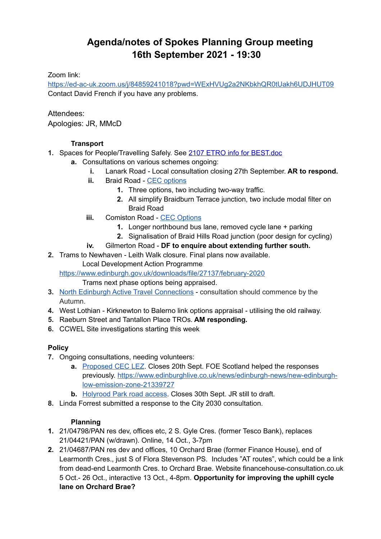# **Agenda/notes of Spokes Planning Group meeting 16th September 2021 - 19:30**

## Zoom link:

<https://ed-ac-uk.zoom.us/j/84859241018?pwd=WExHVUg2a2NKbkhQR0tUakh6UDJHUT09> Contact David French if you have any problems.

#### Attendees:

Apologies: JR, MMcD

## **Transport**

- **1.** Spaces for People/Travelling Safely. See [2107 ETRO info for BEST.doc](https://docs.google.com/document/d/18d2kpTLMNJEV8axN5FGy8ANL0ssHiKEI/edit?usp=sharing&ouid=111197287464161786406&rtpof=true&sd=true)
	- **a.** Consultations on various schemes ongoing:
		- **i.** Lanark Road Local consultation closing 27th September. **AR to respond.**
		- **ii.** Braid Road - [CEC options](https://drscottarthur.files.wordpress.com/2021/09/braid-comiston-revision-options.pdf)
			- **1.** Three options, two including two-way traffic.
			- **2.** All simplify Braidburn Terrace junction, two include modal filter on Braid Road
		- **iii.** Comiston Road - [CEC Options](https://drscottarthur.files.wordpress.com/2021/09/braid-comiston-revision-options.pdf)
			- **1.** Longer northbound bus lane, removed cycle lane + parking
			- **2.** Signalisation of Braid Hills Road junction (poor design for cycling)
		- **iv.** Gilmerton Road **DF to enquire about extending further south.**
- **2.** Trams to Newhaven Leith Walk closure. Final plans now available.

Local Development Action Programme

<https://www.edinburgh.gov.uk/downloads/file/27137/february-2020>

Trams next phase options being appraised.

- **3.** [North Edinburgh Active Travel Connections](https://neatconnections.commonplace.is/about)  consultation should commence by the Autumn.
- **4.** West Lothian Kirknewton to Balerno link options appraisal utilising the old railway.
- **5.** Raeburn Street and Tantallon Place TROs. **AM responding.**
- **6.** CCWEL Site investigations starting this week

## **Policy**

- **7.** Ongoing consultations, needing volunteers:
	- **a.** [Proposed CEC LEZ.](https://consultationhub.edinburgh.gov.uk/sfc/low-emission-zone/) Closes 20th Sept. FOE Scotland helped the responses previously. [https://www.edinburghlive.co.uk/news/edinburgh-news/new-edinburgh](https://www.edinburghlive.co.uk/news/edinburgh-news/new-edinburgh-low-emission-zone-21339727)[low-emission-zone-21339727](https://www.edinburghlive.co.uk/news/edinburgh-news/new-edinburgh-low-emission-zone-21339727)
	- **b.** [Holyrood Park road access.](https://consultations.historicenvironment.scot/commercial-tourism/holyrood-park/) Closes 30th Sept. JR still to draft.
- **8.** Linda Forrest submitted a response to the City 2030 consultation.

## **Planning**

- **1.** 21/04798/PAN res dev, offices etc, 2 S. Gyle Cres. (former Tesco Bank), replaces 21/04421/PAN (w/drawn). Online, 14 Oct., 3-7pm
- **2.** 21/04687/PAN res dev and offices, 10 Orchard Brae (former Finance House), end of Learmonth Cres., just S of Flora Stevenson PS. Includes "AT routes", which could be a link from dead-end Learmonth Cres. to Orchard Brae. Website financehouse-consultation.co.uk 5 Oct.- 26 Oct., interactive 13 Oct., 4-8pm. **Opportunity for improving the uphill cycle lane on Orchard Brae?**